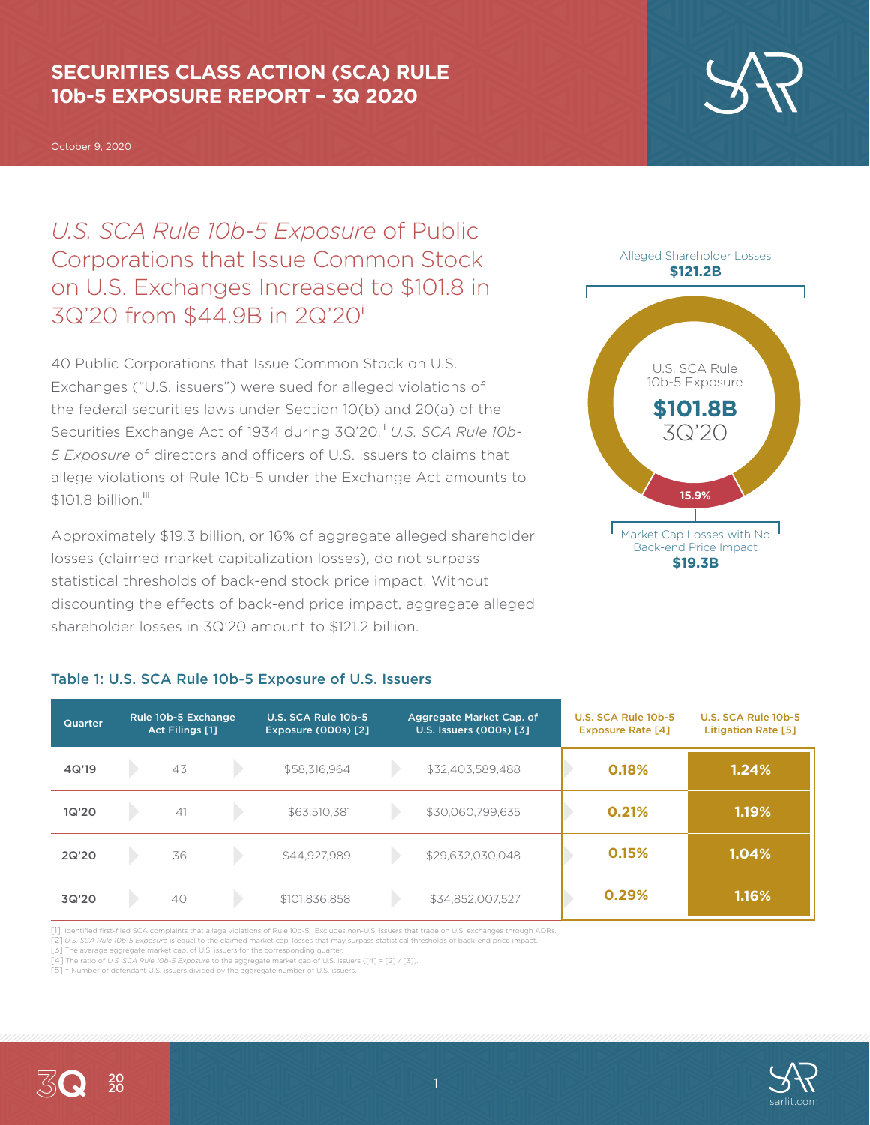## **SECURITIES CLASS ACTION (SCA) RULE 10b-5 EXPOSURE REPORT – 3Q 2020**

October 9, 2020

*U.S. SCA Rule 10b-5 Exposure* of Public Corporations that Issue Common Stock on U.S. Exchanges Increased to \$101.8 in 3Q'20 from \$44.9B in 2Q'20<sup>i</sup>

40 Public Corporations that Issue Common Stock on U.S. Exchanges ("U.S. issuers") were sued for alleged violations of the federal securities laws under Section 10(b) and 20(a) of the Securities Exchange Act of 1934 during 3Q'20.<sup>ii</sup> U.S. SCA Rule 10b-*5 Exposure* of directors and officers of U.S. issuers to claims that allege violations of Rule 10b-5 under the Exchange Act amounts to  $$101.8$  billion<sup>iii</sup>

Approximately \$19.3 billion, or 16% of aggregate alleged shareholder losses (claimed market capitalization losses), do not surpass statistical thresholds of back-end stock price impact. Without discounting the effects of back-end price impact, aggregate alleged shareholder losses in 3Q'20 amount to \$121.2 billion.



**\$19.3B**

| Quarter | Rule 10b-5 Exchange<br>Act Filings [1] |    | U.S. SCA Rule 10b-5<br><b>Exposure (000s) [2]</b> | Aggregate Market Cap. of<br>U.S. Issuers (000s) [3] |                  | U.S. SCA Rule 10b-5<br><b>Exposure Rate [4]</b> | U.S. SCA Rule 10b-5<br><b>Litigation Rate [5]</b> |
|---------|----------------------------------------|----|---------------------------------------------------|-----------------------------------------------------|------------------|-------------------------------------------------|---------------------------------------------------|
| 4Q'19   |                                        | 43 | \$58,316,964                                      |                                                     | \$32,403,589,488 | 0.18%                                           | 1.24%                                             |
| 1Q'20   |                                        | 41 | \$63,510,381                                      |                                                     | \$30,060,799,635 | 0.21%                                           | 1.19%                                             |
| 2Q'20   |                                        | 36 | \$44,927,989                                      |                                                     | \$29,632,030,048 | 0.15%                                           | 1.04%                                             |
| 3Q'20   |                                        | 40 | \$101,836,858                                     |                                                     | \$34,852,007,527 | 0.29%                                           | 1.16%                                             |

### Table 1: U.S. SCA Rule 10b-5 Exposure of U.S. Issuers

[1] Identified first-filed SCA complaints that allege violations of Rule 10b-5. Excludes non-U.S. issuers that trade on U.S. exchanges through ADRs.

[2] *U.S. SCA Rule 10b-5 Exposure* is equal to the claimed market cap. losses that may surpass statistical thresholds of back-end price impact.

[3] The average aggregate market cap. of U.S. issuers for the corresponding quarter. [4] The ratio of *U.S. SCA Rule 10b-5 Exposure* to the aggregate market cap of U.S. issuers ([4] = [2] / [3]).

[5] = Number of defendant U.S. issuers divided by the aggregate number of U.S. issuers.



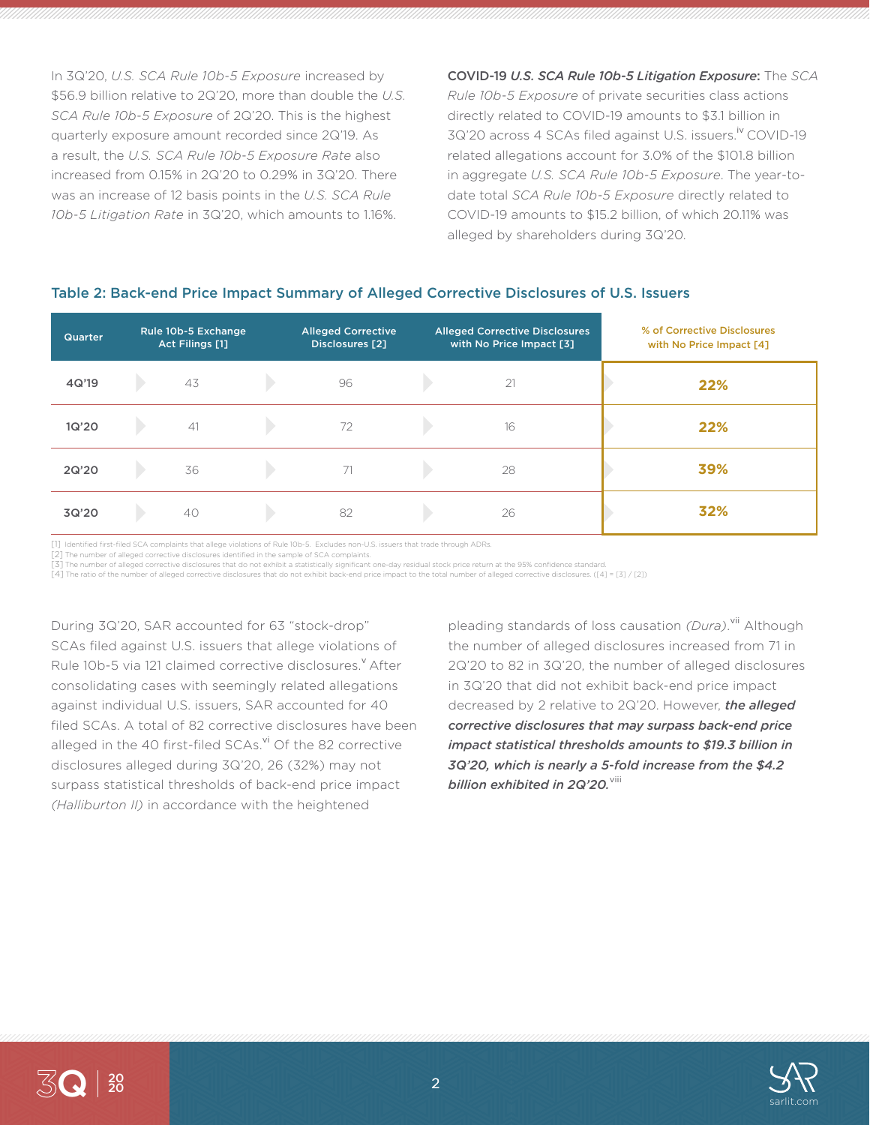In 3Q'20, *U.S. SCA Rule 10b-5 Exposure* increased by \$56.9 billion relative to 2Q'20, more than double the *U.S. SCA Rule 10b-5 Exposure* of 2Q'20. This is the highest quarterly exposure amount recorded since 2Q'19. As a result, the *U.S. SCA Rule 10b-5 Exposure Rate* also increased from 0.15% in 2Q'20 to 0.29% in 3Q'20. There was an increase of 12 basis points in the *U.S. SCA Rule 10b-5 Litigation Rate* in 3Q'20, which amounts to 1.16%.

COVID-19 *U.S. SCA Rule 10b-5 Litigation Exposure*: The *SCA Rule 10b-5 Exposure* of private securities class actions directly related to COVID-19 amounts to \$3.1 billion in 3Q'20 across 4 SCAs filed against U.S. issuers.<sup>iv</sup> COVID-19 related allegations account for 3.0% of the \$101.8 billion in aggregate *U.S. SCA Rule 10b-5 Exposure*. The year-todate total *SCA Rule 10b-5 Exposure* directly related to COVID-19 amounts to \$15.2 billion, of which 20.11% was alleged by shareholders during 3Q'20.

# Table 2: Back-end Price Impact Summary of Alleged Corrective Disclosures of U.S. Issuers

| <b>Quarter</b> | Rule 10b-5 Exchange<br>Act Filings [1] | <b>Alleged Corrective</b><br>Disclosures [2] | <b>Alleged Corrective Disclosures</b><br>with No Price Impact [3] | % of Corrective Disclosures<br>with No Price Impact [4] |
|----------------|----------------------------------------|----------------------------------------------|-------------------------------------------------------------------|---------------------------------------------------------|
| 4Q'19          | 43                                     | 96                                           | 21                                                                | 22%                                                     |
| 1Q'20          | 41                                     | 72                                           | 16                                                                | 22%                                                     |
| 2Q'20          | 36                                     | 71                                           | 28                                                                | 39%                                                     |
| 3Q'20          | 40                                     | 82                                           | 26                                                                | 32%                                                     |

[1] Identified first-filed SCA complaints that allege violations of Rule 10b-5. Excludes non-U.S. issuers that trade through ADRs.

[2] The number of alleged corrective disclosures identified in the sample of SCA complaints.

[3] The number of alleged corrective disclosures that do not exhibit a statistically significant one-day residual stock price return at the 95% confidence standard. [4] The ratio of the number of alleged corrective disclosures that do not exhibit back-end price impact to the total number of alleged corrective disclosures. ([4] = [3] / [2])

During 3Q'20, SAR accounted for 63 "stock-drop" SCAs filed against U.S. issuers that allege violations of Rule 10b-5 via 121 claimed corrective disclosures.<sup>Y</sup> After consolidating cases with seemingly related allegations against individual U.S. issuers, SAR accounted for 40 filed SCAs. A total of 82 corrective disclosures have been alleged in the 40 first-filed SCAs.<sup>vi</sup> Of the 82 corrective disclosures alleged during 3Q'20, 26 (32%) may not surpass statistical thresholds of back-end price impact *(Halliburton II)* in accordance with the heightened

pleading standards of loss causation *(Dura)*.<sup>vii</sup> Although the number of alleged disclosures increased from 71 in 2Q'20 to 82 in 3Q'20, the number of alleged disclosures in 3Q'20 that did not exhibit back-end price impact decreased by 2 relative to 2Q'20. However, *the alleged corrective disclosures that may surpass back-end price impact statistical thresholds amounts to \$19.3 billion in 3Q'20, which is nearly a 5-fold increase from the \$4.2 billion exhibited in 2Q'20.*<sup>viii</sup>

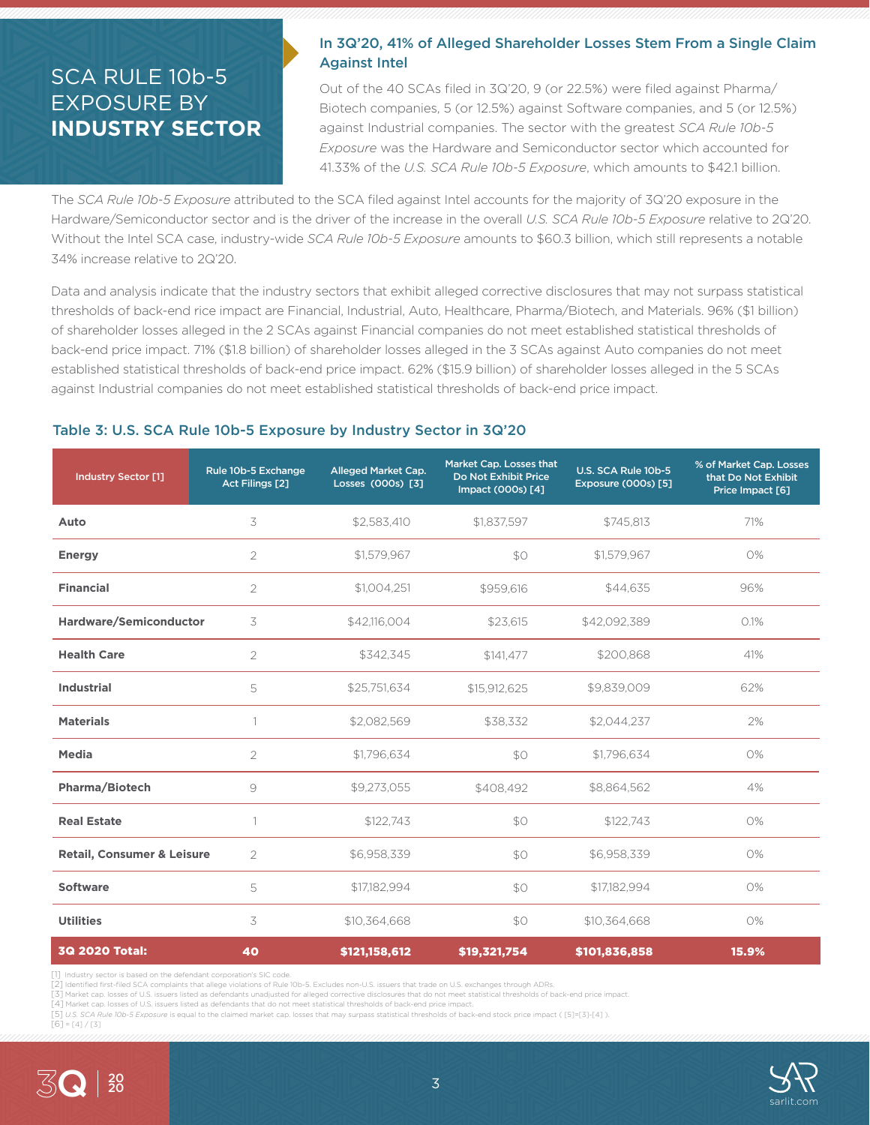# SCA RULE 10b-5 EXPOSURE BY **INDUSTRY SECTOR**

### In 3Q'20, 41% of Alleged Shareholder Losses Stem From a Single Claim Against Intel

Out of the 40 SCAs filed in 3Q'20, 9 (or 22.5%) were filed against Pharma/ Biotech companies, 5 (or 12.5%) against Software companies, and 5 (or 12.5%) against Industrial companies. The sector with the greatest *SCA Rule 10b-5 Exposure* was the Hardware and Semiconductor sector which accounted for 41.33% of the *U.S. SCA Rule 10b-5 Exposure*, which amounts to \$42.1 billion.

The *SCA Rule 10b-5 Exposure* attributed to the SCA filed against Intel accounts for the majority of 3Q'20 exposure in the Hardware/Semiconductor sector and is the driver of the increase in the overall *U.S. SCA Rule 10b-5 Exposure* relative to 2Q'20. Without the Intel SCA case, industry-wide *SCA Rule 10b-5 Exposure* amounts to \$60.3 billion, which still represents a notable 34% increase relative to 2Q'20.

Data and analysis indicate that the industry sectors that exhibit alleged corrective disclosures that may not surpass statistical thresholds of back-end rice impact are Financial, Industrial, Auto, Healthcare, Pharma/Biotech, and Materials. 96% (\$1 billion) of shareholder losses alleged in the 2 SCAs against Financial companies do not meet established statistical thresholds of back-end price impact. 71% (\$1.8 billion) of shareholder losses alleged in the 3 SCAs against Auto companies do not meet established statistical thresholds of back-end price impact. 62% (\$15.9 billion) of shareholder losses alleged in the 5 SCAs against Industrial companies do not meet established statistical thresholds of back-end price impact.

### Table 3: U.S. SCA Rule 10b-5 Exposure by Industry Sector in 3Q'20

| <b>Industry Sector [1]</b>            | Rule 10b-5 Exchange<br><b>Act Filings [2]</b> | Alleged Market Cap.<br>Losses (000s) [3] | Market Cap. Losses that<br>Do Not Exhibit Price<br>Impact (000s) [4] | U.S. SCA Rule 10b-5<br>Exposure (000s) [5] | % of Market Cap. Losses<br>that Do Not Exhibit<br>Price Impact [6] |
|---------------------------------------|-----------------------------------------------|------------------------------------------|----------------------------------------------------------------------|--------------------------------------------|--------------------------------------------------------------------|
| Auto                                  | 3                                             | \$2,583,410                              | \$1,837,597                                                          | \$745,813                                  | 71%                                                                |
| <b>Energy</b>                         | $\overline{2}$                                | \$1,579,967                              | \$0                                                                  | \$1,579,967                                | 0%                                                                 |
| <b>Financial</b>                      | $\overline{2}$                                | \$1,004,251                              | \$959,616                                                            | \$44,635                                   | 96%                                                                |
| Hardware/Semiconductor                | 3                                             | \$42,116,004                             | \$23,615                                                             | \$42.092.389                               | 0.1%                                                               |
| <b>Health Care</b>                    | $\overline{2}$                                | \$342,345                                | \$141,477                                                            | \$200,868                                  | 41%                                                                |
| <b>Industrial</b>                     | 5                                             | \$25,751,634                             | \$15,912,625                                                         | \$9,839,009                                | 62%                                                                |
| <b>Materials</b>                      |                                               | \$2,082,569                              | \$38,332                                                             | \$2,044,237                                | 2%                                                                 |
| Media                                 | $\overline{2}$                                | \$1,796,634                              | \$0                                                                  | \$1,796,634                                | 0%                                                                 |
| Pharma/Biotech                        | 9                                             | \$9,273,055                              | \$408,492                                                            | \$8,864,562                                | 4%                                                                 |
| <b>Real Estate</b>                    | $\mathbf{1}$                                  | \$122,743                                | \$0                                                                  | \$122,743                                  | 0%                                                                 |
| <b>Retail, Consumer &amp; Leisure</b> | $\overline{2}$                                | \$6,958,339                              | \$0                                                                  | \$6,958,339                                | O%                                                                 |
| <b>Software</b>                       | 5                                             | \$17,182,994                             | SO                                                                   | \$17,182,994                               | 0%                                                                 |
| <b>Utilities</b>                      | 3                                             | \$10,364,668                             | \$0                                                                  | \$10,364,668                               | 0%                                                                 |
| <b>3Q 2020 Total:</b>                 | 40                                            | \$121,158,612                            | \$19,321,754                                                         | \$101,836,858                              | 15.9%                                                              |

[1] Industry sector is based on the defendant corporation's SIC code

[2] Identified first-filed SCA complaints that allege violations of Rule 10b-5. Excludes non-U.S. issuers that trade on U.S. exchanges through ADRs.<br>[3] Market cap. losses of U.S. issuers listed as defendants unadjusted fo

[4] Market cap. losses of U.S. issuers listed as defendants that do not meet statistical thresholds of back-end price impact. [5] *U.S. SCA Rule 10b-5 Exposure* is equal to the claimed market cap. losses that may surpass statistical thresholds of back-end stock price impact ( [5]=[3]-[4] ).

 $[6] = [4]/[3]$ 

20

3Q

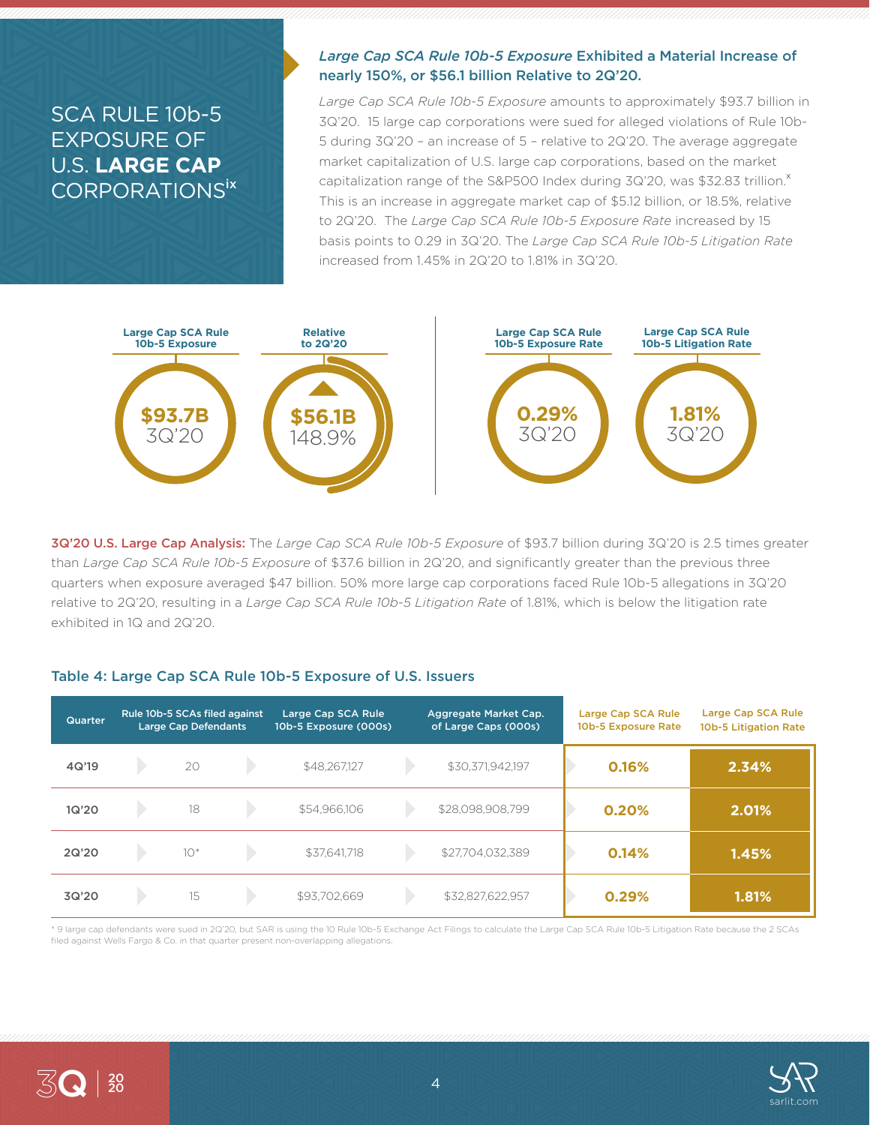# SCA RULE 10b-5 EXPOSURE OF U.S. **LARGE CAP** CORPORATIONSix

### *Large Cap SCA Rule 10b-5 Exposure* Exhibited a Material Increase of nearly 150%, or \$56.1 billion Relative to 2Q'20.

*Large Cap SCA Rule 10b-5 Exposure* amounts to approximately \$93.7 billion in 3Q'20. 15 large cap corporations were sued for alleged violations of Rule 10b-5 during 3Q'20 – an increase of 5 – relative to 2Q'20. The average aggregate market capitalization of U.S. large cap corporations, based on the market capitalization range of the S&P500 Index during 3Q'20, was \$32.83 trillion.<sup>x</sup> This is an increase in aggregate market cap of \$5.12 billion, or 18.5%, relative to 2Q'20. The *Large Cap SCA Rule 10b-5 Exposure Rate* increased by 15 basis points to 0.29 in 3Q'20. The *Large Cap SCA Rule 10b-5 Litigation Rate* increased from 1.45% in 2Q'20 to 1.81% in 3Q'20.



3Q'20 U.S. Large Cap Analysis: The *Large Cap SCA Rule 10b-5 Exposure* of \$93.7 billion during 3Q'20 is 2.5 times greater than *Large Cap SCA Rule 10b-5 Exposure* of \$37.6 billion in 2Q'20, and significantly greater than the previous three quarters when exposure averaged \$47 billion. 50% more large cap corporations faced Rule 10b-5 allegations in 3Q'20 relative to 2Q'20, resulting in a *Large Cap SCA Rule 10b-5 Litigation Rate* of 1.81%, which is below the litigation rate exhibited in 1Q and 2Q'20.

### Table 4: Large Cap SCA Rule 10b-5 Exposure of U.S. Issuers

| Quarter | Rule 10b-5 SCAs filed against<br><b>Large Cap Defendants</b> |       | Large Cap SCA Rule<br>10b-5 Exposure (000s) |              | Aggregate Market Cap.<br>of Large Caps (000s) | Large Cap SCA Rule<br>10b-5 Exposure Rate | Large Cap SCA Rule<br>10b-5 Litigation Rate |       |
|---------|--------------------------------------------------------------|-------|---------------------------------------------|--------------|-----------------------------------------------|-------------------------------------------|---------------------------------------------|-------|
| 4Q'19   |                                                              | 20    |                                             | \$48,267,127 |                                               | \$30,371,942,197                          | 0.16%                                       | 2.34% |
| 1Q'20   |                                                              | 18    |                                             | \$54,966,106 |                                               | \$28,098,908,799                          | 0.20%                                       | 2.01% |
| 2Q'20   |                                                              | $10*$ |                                             | \$37,641,718 |                                               | \$27,704,032,389                          | 0.14%                                       | 1.45% |
| 3Q'20   |                                                              | 15    |                                             | \$93.702.669 |                                               | \$32,827,622,957                          | 0.29%                                       | 1.81% |

\* 9 large cap defendants were sued in 2Q'20, but SAR is using the 10 Rule 10b-5 Exchange Act Filings to calculate the Large Cap SCA Rule 10b-5 Litigation Rate because the 2 SCAs filed against Wells Fargo & Co. in that quarter present non-overlapping allegations.



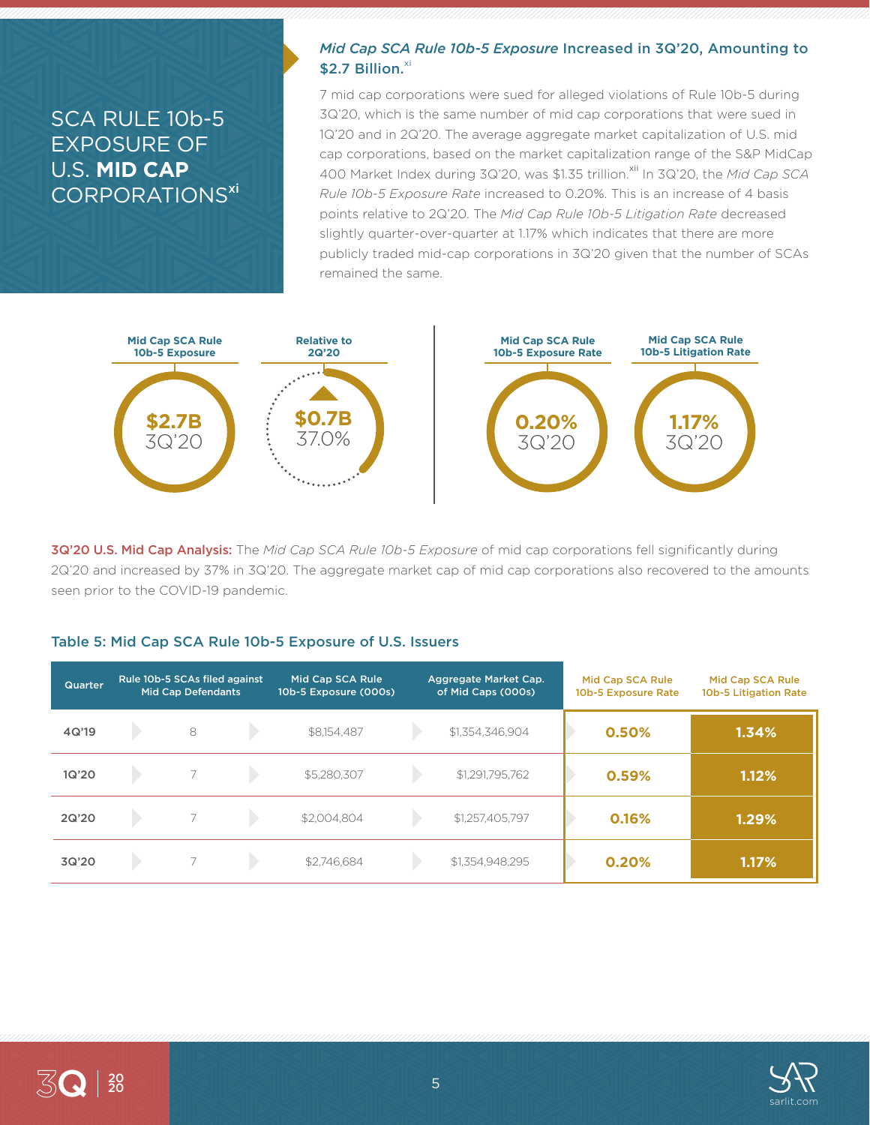# SCA RULE 10b-5 EXPOSURE OF U.S. **MID CAP** CORPORATIONS<sup>xi</sup>

### *Mid Cap SCA Rule 10b-5 Exposure* Increased in 3Q'20, Amounting to  $$2.7$  Billion. $^{xi}$

7 mid cap corporations were sued for alleged violations of Rule 10b-5 during 3Q'20, which is the same number of mid cap corporations that were sued in 1Q'20 and in 2Q'20. The average aggregate market capitalization of U.S. mid cap corporations, based on the market capitalization range of the S&P MidCap 400 Market Index during 3Q'20, was \$1.35 trillion.<sup>xii</sup> In 3Q'20, the *Mid Cap SCA Rule 10b-5 Exposure Rate* increased to 0.20%. This is an increase of 4 basis points relative to 2Q'20. The *Mid Cap Rule 10b-5 Litigation Rate* decreased slightly quarter-over-quarter at 1.17% which indicates that there are more publicly traded mid-cap corporations in 3Q'20 given that the number of SCAs remained the same.



3Q'20 U.S. Mid Cap Analysis: The *Mid Cap SCA Rule 10b-5 Exposure* of mid cap corporations fell significantly during 2Q'20 and increased by 37% in 3Q'20. The aggregate market cap of mid cap corporations also recovered to the amounts seen prior to the COVID-19 pandemic.

#### Table 5: Mid Cap SCA Rule 10b-5 Exposure of U.S. Issuers

| Quarter | Rule 10b-5 SCAs filed against<br><b>Mid Cap Defendants</b> |   | Mid Cap SCA Rule<br>10b-5 Exposure (000s) | Aggregate Market Cap.<br>of Mid Caps (000s) |  | Mid Cap SCA Rule<br>10b-5 Exposure Rate | Mid Cap SCA Rule<br>10b-5 Litigation Rate |       |
|---------|------------------------------------------------------------|---|-------------------------------------------|---------------------------------------------|--|-----------------------------------------|-------------------------------------------|-------|
| 4Q'19   |                                                            | 8 |                                           | \$8,154,487                                 |  | \$1,354,346,904                         | 0.50%                                     | 1.34% |
| 1Q'20   |                                                            |   |                                           | \$5,280,307                                 |  | \$1,291,795,762                         | 0.59%                                     | 1.12% |
| 2Q'20   |                                                            |   |                                           | \$2,004.804                                 |  | \$1,257,405,797                         | 0.16%                                     | 1.29% |
| 3Q'20   |                                                            |   |                                           | \$2,746,684                                 |  | \$1,354,948,295                         | 0.20%                                     | 1.17% |

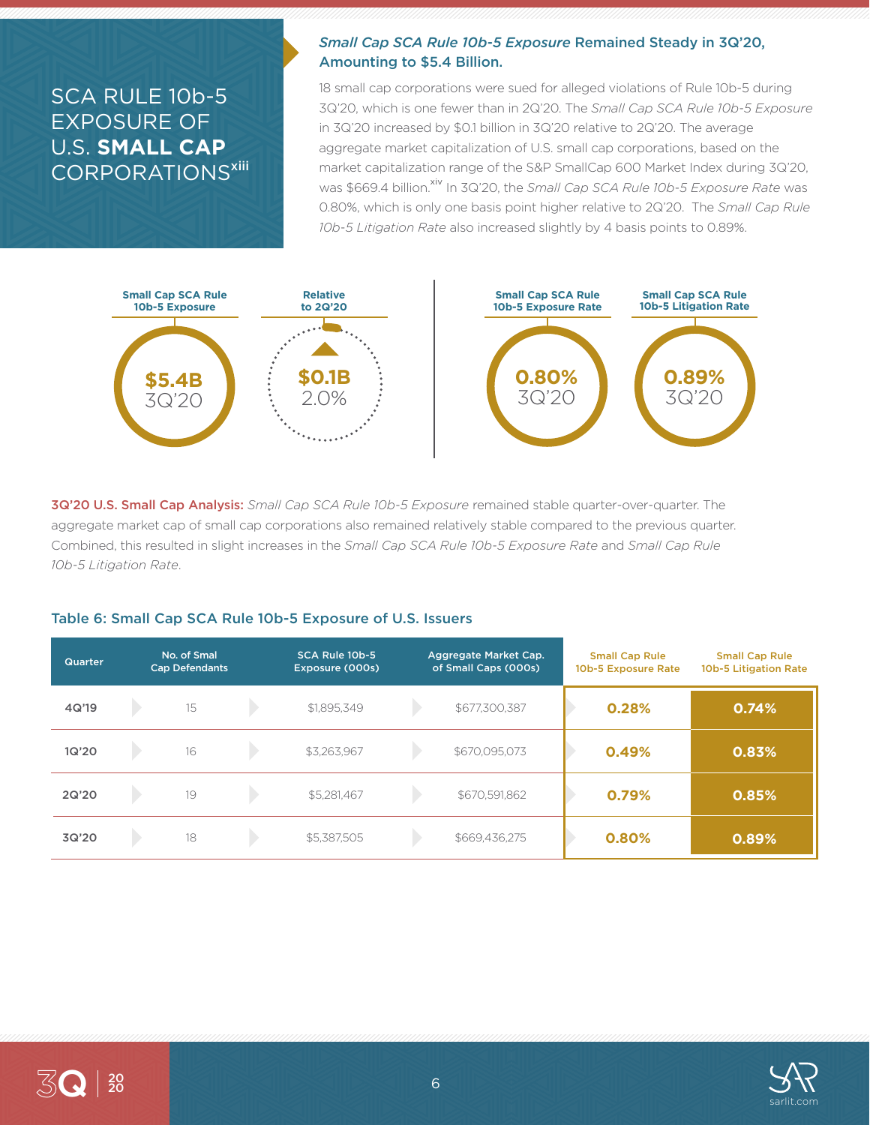# SCA RULE 10b-5 EXPOSURE OF U.S. **SMALL CAP** CORPORATIONS<sup>xiii</sup>

### *Small Cap SCA Rule 10b-5 Exposure* Remained Steady in 3Q'20, Amounting to \$5.4 Billion.

18 small cap corporations were sued for alleged violations of Rule 10b-5 during 3Q'20, which is one fewer than in 2Q'20. The *Small Cap SCA Rule 10b-5 Exposure* in 3Q'20 increased by \$0.1 billion in 3Q'20 relative to 2Q'20. The average aggregate market capitalization of U.S. small cap corporations, based on the market capitalization range of the S&P SmallCap 600 Market Index during 3Q'20, was \$669.4 billion.<sup>xiv</sup> In 3Q'20, the *Small Cap SCA Rule 10b-5 Exposure Rate* was 0.80%, which is only one basis point higher relative to 2Q'20. The *Small Cap Rule 10b-5 Litigation Rate* also increased slightly by 4 basis points to 0.89%.



3Q'20 U.S. Small Cap Analysis: *Small Cap SCA Rule 10b-5 Exposure* remained stable quarter-over-quarter. The aggregate market cap of small cap corporations also remained relatively stable compared to the previous quarter. Combined, this resulted in slight increases in the *Small Cap SCA Rule 10b-5 Exposure Rate* and *Small Cap Rule 10b-5 Litigation Rate*.

#### Table 6: Small Cap SCA Rule 10b-5 Exposure of U.S. Issuers

| <b>Quarter</b> | No. of Smal<br><b>Cap Defendants</b> | SCA Rule 10b-5<br>Exposure (000s) | Aggregate Market Cap.<br>of Small Caps (000s) | <b>Small Cap Rule</b><br>10b-5 Exposure Rate | <b>Small Cap Rule</b><br>10b-5 Litigation Rate |
|----------------|--------------------------------------|-----------------------------------|-----------------------------------------------|----------------------------------------------|------------------------------------------------|
| 4Q'19          | 15                                   | \$1,895,349                       | \$677,300,387                                 | 0.28%                                        | 0.74%                                          |
| 1Q'20          | 16                                   | \$3,263,967                       | \$670,095,073                                 | 0.49%                                        | 0.83%                                          |
| 2Q'20          | 19                                   | \$5,281,467                       | \$670,591,862                                 | 0.79%                                        | 0.85%                                          |
| 3Q'20          | 18                                   | \$5,387,505                       | \$669,436,275                                 | 0.80%                                        | 0.89%                                          |

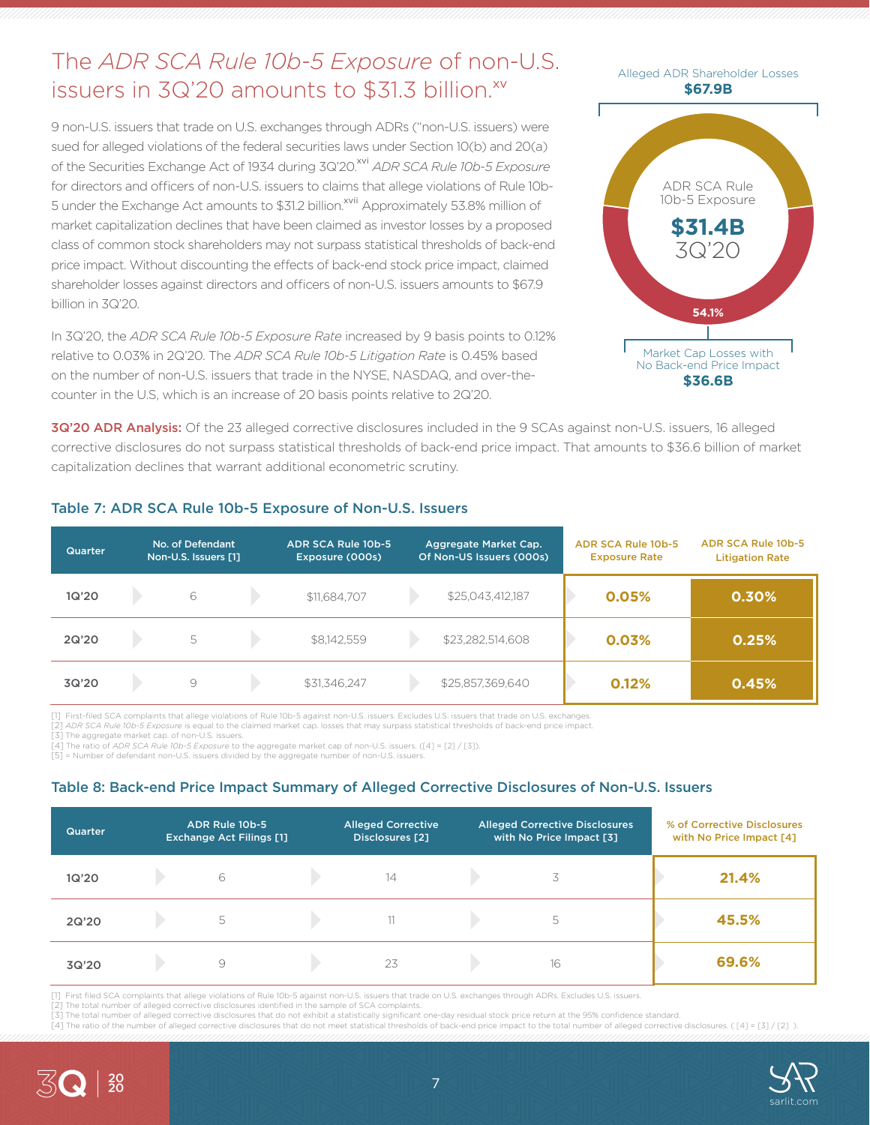# The *ADR SCA Rule 10b-5 Exposure* of non-U.S. issuers in 3Q'20 amounts to \$31.3 billion.<sup>xv</sup>

9 non-U.S. issuers that trade on U.S. exchanges through ADRs ("non-U.S. issuers) were sued for alleged violations of the federal securities laws under Section 10(b) and 20(a) of the Securities Exchange Act of 1934 during 3Q'20.<sup>xvi</sup> *ADR SCA Rule 10b-5 Exposure* for directors and officers of non-U.S. issuers to claims that allege violations of Rule 10b-5 under the Exchange Act amounts to \$31.2 billion.<sup>xvii</sup> Approximately 53.8% million of market capitalization declines that have been claimed as investor losses by a proposed class of common stock shareholders may not surpass statistical thresholds of back-end price impact. Without discounting the effects of back-end stock price impact, claimed shareholder losses against directors and officers of non-U.S. issuers amounts to \$67.9 billion in 3Q'20.

In 3Q'20, the *ADR SCA Rule 10b-5 Exposure Rate* increased by 9 basis points to 0.12% relative to 0.03% in 2Q'20. The *ADR SCA Rule 10b-5 Litigation Rate* is 0.45% based on the number of non-U.S. issuers that trade in the NYSE, NASDAQ, and over-thecounter in the U.S, which is an increase of 20 basis points relative to 2Q'20.



3Q'20 ADR Analysis: Of the 23 alleged corrective disclosures included in the 9 SCAs against non-U.S. issuers, 16 alleged corrective disclosures do not surpass statistical thresholds of back-end price impact. That amounts to \$36.6 billion of market capitalization declines that warrant additional econometric scrutiny.

| <b>Quarter</b> | No. of Defendant<br>Non-U.S. Issuers [1] |  | ADR SCA Rule 10b-5<br>Exposure (000s) | Aggregate Market Cap.<br>Of Non-US Issuers (000s) |                  | <b>ADR SCA Rule 10b-5</b><br><b>Exposure Rate</b> | ADR SCA Rule 10b-5<br><b>Litigation Rate</b> |
|----------------|------------------------------------------|--|---------------------------------------|---------------------------------------------------|------------------|---------------------------------------------------|----------------------------------------------|
| 1Q'20          | 6                                        |  | \$11,684,707                          |                                                   | \$25,043,412,187 | 0.05%                                             | 0.30%                                        |
| 2Q'20          | 5                                        |  | \$8,142,559                           |                                                   | \$23,282,514,608 | 0.03%                                             | 0.25%                                        |
| 3Q'20          | 9                                        |  | \$31,346,247                          |                                                   | \$25,857,369,640 | 0.12%                                             | 0.45%                                        |

### Table 7: ADR SCA Rule 10b-5 Exposure of Non-U.S. Issuers

[1] First-filed SCA complaints that allege violations of Rule 10b-5 against non-U.S. issuers. Excludes U.S. issuers that trade on U.S. exchanges.

[2] *ADR SCA Rule 10b-5 Exposure* is equal to the claimed market cap. losses that may surpass statistical thresholds of back-end price impact.

[3] The aggregate market cap. of non-U.S. issuers.

[4] The ratio of *ADR SCA Rule 10b-5 Exposure* to the aggregate market cap of non-U.S. issuers. ([4] = [2] / [3]). [5] = Number of defendant non-U.S. issuers divided by the aggregate number of non-U.S. issuers

### Table 8: Back-end Price Impact Summary of Alleged Corrective Disclosures of Non-U.S. Issuers

| Quarter | ADR Rule 10b-5<br><b>Exchange Act Filings [1]</b> | <b>Alleged Corrective</b><br>Disclosures [2] | <b>Alleged Corrective Disclosures</b><br>with No Price Impact [3] | % of Corrective Disclosures<br>with No Price Impact [4] |
|---------|---------------------------------------------------|----------------------------------------------|-------------------------------------------------------------------|---------------------------------------------------------|
| 1Q'20   | 6                                                 | 14                                           |                                                                   | 21.4%                                                   |
| 2Q'20   | 5                                                 |                                              | 5                                                                 | 45.5%                                                   |
| 3Q'20   | 9                                                 | 23                                           | 16                                                                | 69.6%                                                   |

[1] First filed SCA complaints that allege violations of Rule 10b-5 against non-U.S. issuers that trade on U.S. exchanges through ADRs. Excludes U.S. issuers.

[2] The total number of alleged corrective disclosures identified in the sample of SCA complaints.

[3] The total number of alleged corrective disclosures that do not exhibit a statistically significant one-day residual stock price return at the 95% confidence standard. [4] The ratio of the number of alleged corrective disclosures that do not meet statistical thresholds of back-end price impact to the total number of alleged corrective disclosures. ([4] = [3] / [2] ).